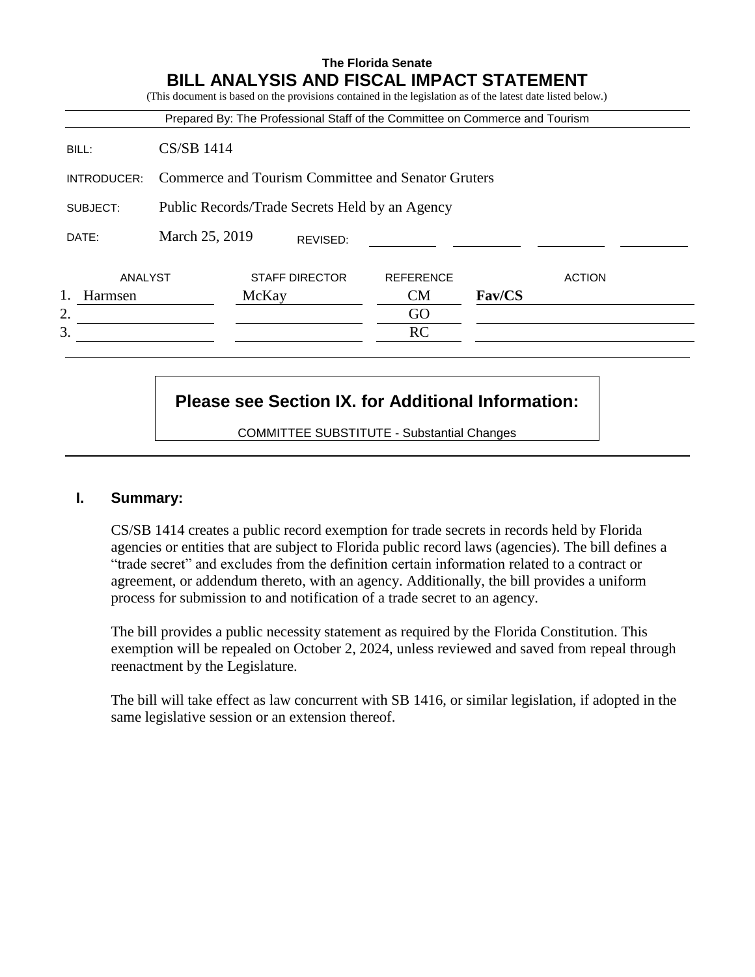|             |                                                    |       |                       | Prepared By: The Professional Staff of the Committee on Commerce and Tourism |        |               |
|-------------|----------------------------------------------------|-------|-----------------------|------------------------------------------------------------------------------|--------|---------------|
| BILL:       | <b>CS/SB 1414</b>                                  |       |                       |                                                                              |        |               |
| INTRODUCER: | Commerce and Tourism Committee and Senator Gruters |       |                       |                                                                              |        |               |
| SUBJECT:    | Public Records/Trade Secrets Held by an Agency     |       |                       |                                                                              |        |               |
| DATE:       | March 25, 2019                                     |       | REVISED:              |                                                                              |        |               |
| ANALYST     |                                                    |       | <b>STAFF DIRECTOR</b> | <b>REFERENCE</b>                                                             |        | <b>ACTION</b> |
| Harmsen     |                                                    | McKay |                       | <b>CM</b>                                                                    | Fav/CS |               |
| 2.          |                                                    |       |                       | GO                                                                           |        |               |
| 3.          |                                                    |       |                       | RC                                                                           |        |               |

# **Please see Section IX. for Additional Information:**

COMMITTEE SUBSTITUTE - Substantial Changes

#### **I. Summary:**

CS/SB 1414 creates a public record exemption for trade secrets in records held by Florida agencies or entities that are subject to Florida public record laws (agencies). The bill defines a "trade secret" and excludes from the definition certain information related to a contract or agreement, or addendum thereto, with an agency. Additionally, the bill provides a uniform process for submission to and notification of a trade secret to an agency.

The bill provides a public necessity statement as required by the Florida Constitution. This exemption will be repealed on October 2, 2024, unless reviewed and saved from repeal through reenactment by the Legislature.

The bill will take effect as law concurrent with SB 1416, or similar legislation, if adopted in the same legislative session or an extension thereof.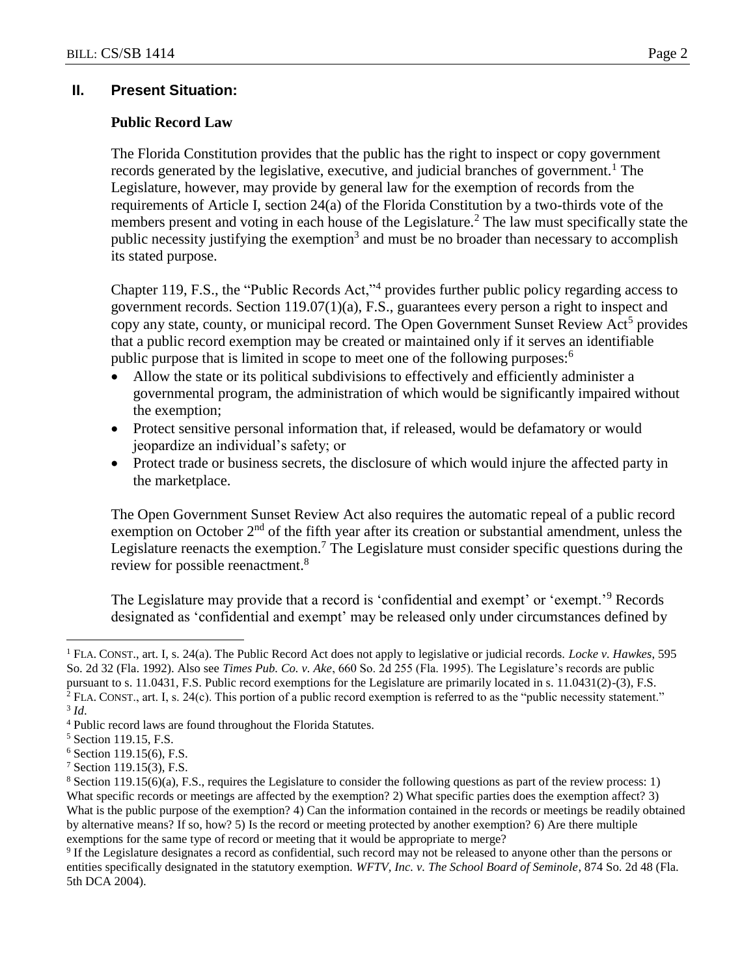## **II. Present Situation:**

#### **Public Record Law**

The Florida Constitution provides that the public has the right to inspect or copy government records generated by the legislative, executive, and judicial branches of government.<sup>1</sup> The Legislature, however, may provide by general law for the exemption of records from the requirements of Article I, section 24(a) of the Florida Constitution by a two-thirds vote of the members present and voting in each house of the Legislature.<sup>2</sup> The law must specifically state the public necessity justifying the exemption<sup>3</sup> and must be no broader than necessary to accomplish its stated purpose.

Chapter 119, F.S., the "Public Records Act,"<sup>4</sup> provides further public policy regarding access to government records. Section 119.07(1)(a), F.S., guarantees every person a right to inspect and copy any state, county, or municipal record. The Open Government Sunset Review Act<sup>5</sup> provides that a public record exemption may be created or maintained only if it serves an identifiable public purpose that is limited in scope to meet one of the following purposes:<sup>6</sup>

- Allow the state or its political subdivisions to effectively and efficiently administer a governmental program, the administration of which would be significantly impaired without the exemption;
- Protect sensitive personal information that, if released, would be defamatory or would jeopardize an individual's safety; or
- Protect trade or business secrets, the disclosure of which would injure the affected party in the marketplace.

The Open Government Sunset Review Act also requires the automatic repeal of a public record exemption on October  $2<sup>nd</sup>$  of the fifth year after its creation or substantial amendment, unless the Legislature reenacts the exemption.<sup>7</sup> The Legislature must consider specific questions during the review for possible reenactment.<sup>8</sup>

The Legislature may provide that a record is 'confidential and exempt' or 'exempt.'<sup>9</sup> Records designated as 'confidential and exempt' may be released only under circumstances defined by

<sup>1</sup> FLA. CONST., art. I, s. 24(a). The Public Record Act does not apply to legislative or judicial records. *Locke v. Hawkes*, 595 So. 2d 32 (Fla. 1992). Also see *Times Pub. Co. v. Ake*, 660 So. 2d 255 (Fla. 1995). The Legislature's records are public pursuant to s. 11.0431, F.S. Public record exemptions for the Legislature are primarily located in s. 11.0431(2)-(3), F.S. <sup>2</sup> FLA. CONST., art. I, s. 24(c). This portion of a public record exemption is referred to as the "public necessity statement."

<sup>3</sup> *Id*.

<sup>4</sup> Public record laws are found throughout the Florida Statutes.

<sup>5</sup> Section 119.15, F.S.

<sup>6</sup> Section 119.15(6), F.S.

<sup>7</sup> Section 119.15(3), F.S.

 $8$  Section 119.15(6)(a), F.S., requires the Legislature to consider the following questions as part of the review process: 1) What specific records or meetings are affected by the exemption? 2) What specific parties does the exemption affect? 3) What is the public purpose of the exemption? 4) Can the information contained in the records or meetings be readily obtained by alternative means? If so, how? 5) Is the record or meeting protected by another exemption? 6) Are there multiple exemptions for the same type of record or meeting that it would be appropriate to merge?

<sup>&</sup>lt;sup>9</sup> If the Legislature designates a record as confidential, such record may not be released to anyone other than the persons or entities specifically designated in the statutory exemption. *WFTV, Inc. v. The School Board of Seminole*, 874 So. 2d 48 (Fla. 5th DCA 2004).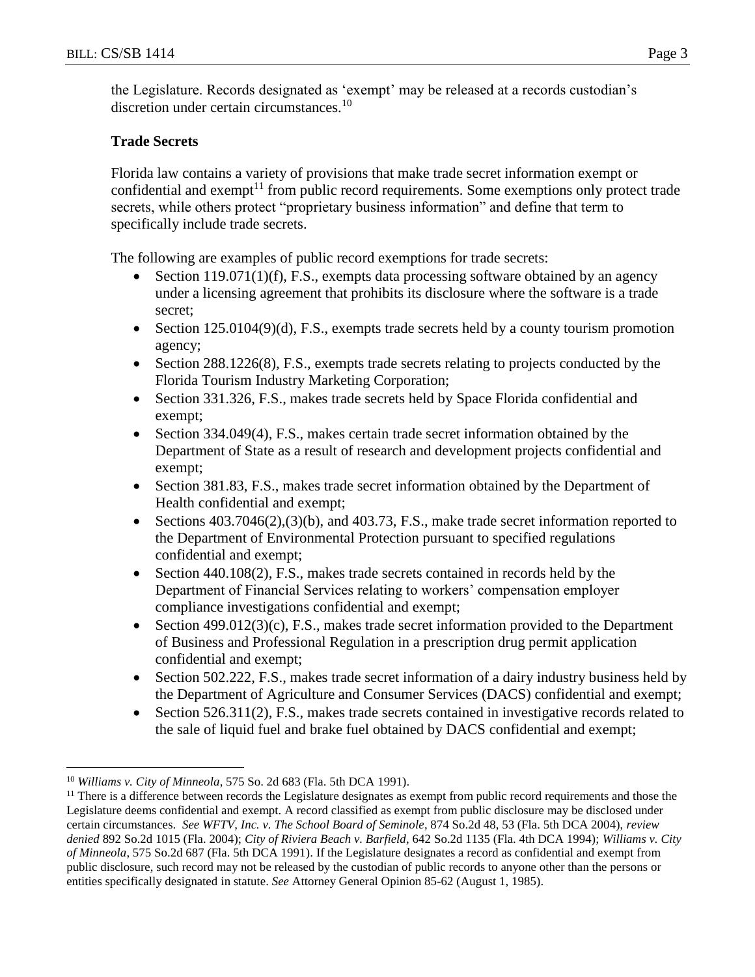the Legislature. Records designated as 'exempt' may be released at a records custodian's discretion under certain circumstances.<sup>10</sup>

# **Trade Secrets**

Florida law contains a variety of provisions that make trade secret information exempt or confidential and exempt<sup>11</sup> from public record requirements. Some exemptions only protect trade secrets, while others protect "proprietary business information" and define that term to specifically include trade secrets.

The following are examples of public record exemptions for trade secrets:

- Section 119.071(1)(f), F.S., exempts data processing software obtained by an agency under a licensing agreement that prohibits its disclosure where the software is a trade secret;
- Section  $125.0104(9)(d)$ , F.S., exempts trade secrets held by a county tourism promotion agency;
- Section 288.1226(8), F.S., exempts trade secrets relating to projects conducted by the Florida Tourism Industry Marketing Corporation;
- Section 331.326, F.S., makes trade secrets held by Space Florida confidential and exempt;
- Section 334.049(4), F.S., makes certain trade secret information obtained by the Department of State as a result of research and development projects confidential and exempt;
- Section 381.83, F.S., makes trade secret information obtained by the Department of Health confidential and exempt;
- Sections  $403.7046(2),(3)(b)$ , and  $403.73$ , F.S., make trade secret information reported to the Department of Environmental Protection pursuant to specified regulations confidential and exempt;
- Section 440.108(2), F.S., makes trade secrets contained in records held by the Department of Financial Services relating to workers' compensation employer compliance investigations confidential and exempt;
- Section 499.012(3)(c), F.S., makes trade secret information provided to the Department of Business and Professional Regulation in a prescription drug permit application confidential and exempt;
- Section 502.222, F.S., makes trade secret information of a dairy industry business held by the Department of Agriculture and Consumer Services (DACS) confidential and exempt;
- Section 526.311(2), F.S., makes trade secrets contained in investigative records related to the sale of liquid fuel and brake fuel obtained by DACS confidential and exempt;

<sup>10</sup> *Williams v. City of Minneola*, 575 So. 2d 683 (Fla. 5th DCA 1991).

 $<sup>11</sup>$  There is a difference between records the Legislature designates as exempt from public record requirements and those the</sup> Legislature deems confidential and exempt. A record classified as exempt from public disclosure may be disclosed under certain circumstances. *See WFTV, Inc. v. The School Board of Seminole*, 874 So.2d 48, 53 (Fla. 5th DCA 2004), *review denied* 892 So.2d 1015 (Fla. 2004); *City of Riviera Beach v. Barfield*, 642 So.2d 1135 (Fla. 4th DCA 1994); *Williams v. City of Minneola*, 575 So.2d 687 (Fla. 5th DCA 1991). If the Legislature designates a record as confidential and exempt from public disclosure, such record may not be released by the custodian of public records to anyone other than the persons or entities specifically designated in statute. *See* Attorney General Opinion 85-62 (August 1, 1985).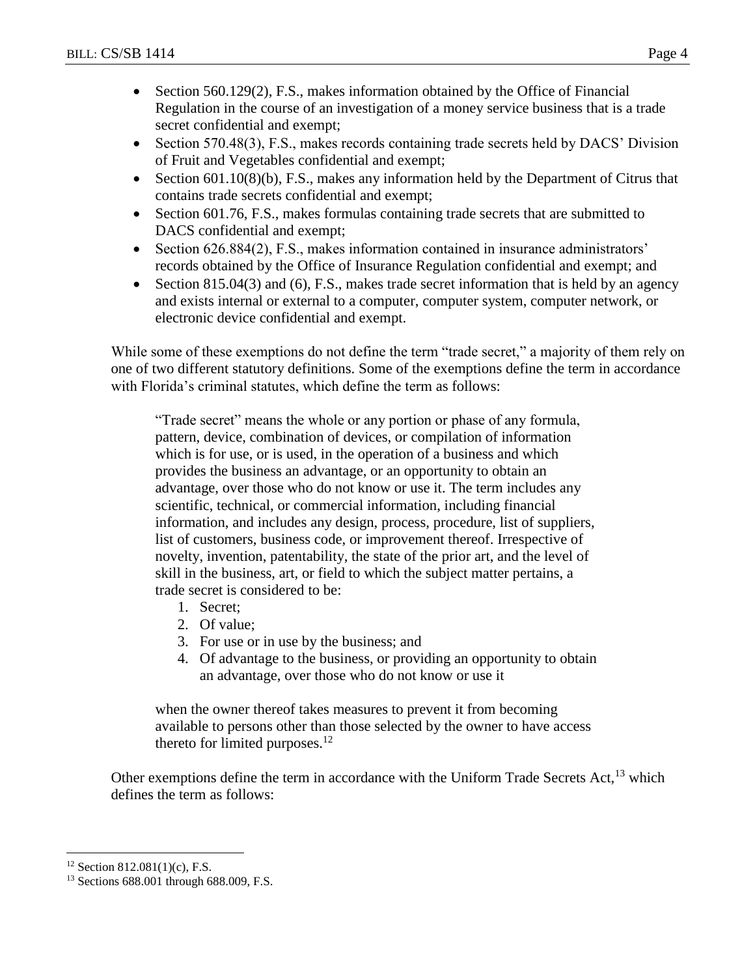- Section 560.129(2), F.S., makes information obtained by the Office of Financial Regulation in the course of an investigation of a money service business that is a trade secret confidential and exempt;
- Section 570.48(3), F.S., makes records containing trade secrets held by DACS' Division of Fruit and Vegetables confidential and exempt;
- Section  $601.10(8)(b)$ , F.S., makes any information held by the Department of Citrus that contains trade secrets confidential and exempt;
- Section 601.76, F.S., makes formulas containing trade secrets that are submitted to DACS confidential and exempt;
- Section 626.884(2), F.S., makes information contained in insurance administrators' records obtained by the Office of Insurance Regulation confidential and exempt; and
- Section 815.04(3) and (6), F.S., makes trade secret information that is held by an agency and exists internal or external to a computer, computer system, computer network, or electronic device confidential and exempt.

While some of these exemptions do not define the term "trade secret," a majority of them rely on one of two different statutory definitions. Some of the exemptions define the term in accordance with Florida's criminal statutes, which define the term as follows:

"Trade secret" means the whole or any portion or phase of any formula, pattern, device, combination of devices, or compilation of information which is for use, or is used, in the operation of a business and which provides the business an advantage, or an opportunity to obtain an advantage, over those who do not know or use it. The term includes any scientific, technical, or commercial information, including financial information, and includes any design, process, procedure, list of suppliers, list of customers, business code, or improvement thereof. Irrespective of novelty, invention, patentability, the state of the prior art, and the level of skill in the business, art, or field to which the subject matter pertains, a trade secret is considered to be:

- 1. Secret;
- 2. Of value;
- 3. For use or in use by the business; and
- 4. Of advantage to the business, or providing an opportunity to obtain an advantage, over those who do not know or use it

when the owner thereof takes measures to prevent it from becoming available to persons other than those selected by the owner to have access thereto for limited purposes. $^{12}$ 

Other exemptions define the term in accordance with the Uniform Trade Secrets Act,<sup>13</sup> which defines the term as follows:

 $12$  Section 812.081(1)(c), F.S.

<sup>13</sup> Sections 688.001 through 688.009, F.S.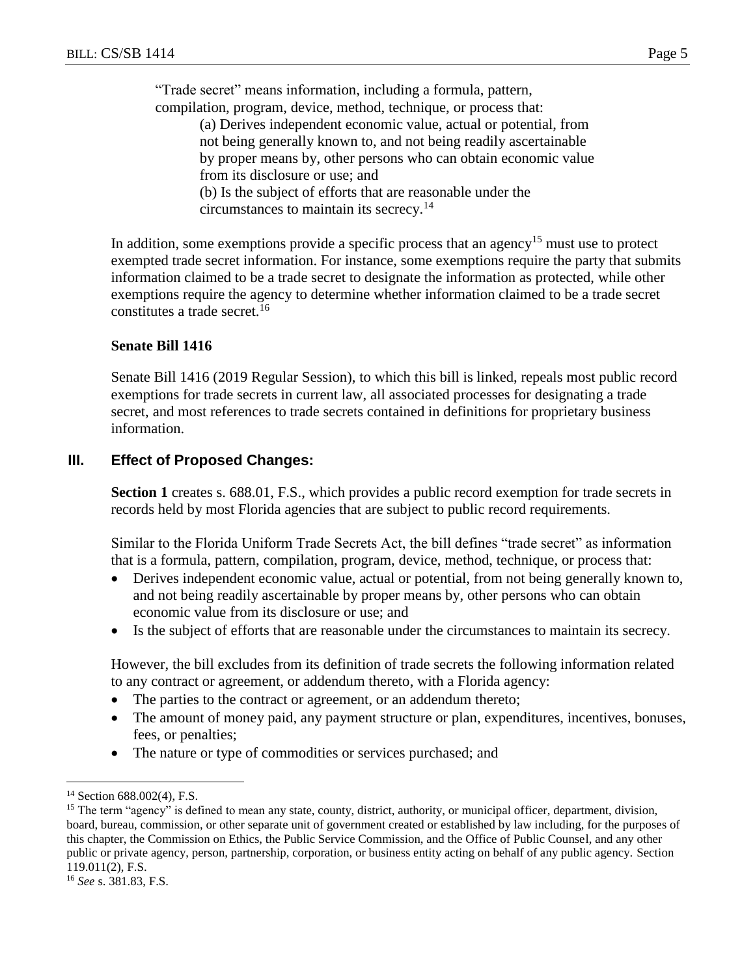"Trade secret" means information, including a formula, pattern, compilation, program, device, method, technique, or process that: (a) Derives independent economic value, actual or potential, from not being generally known to, and not being readily ascertainable by proper means by, other persons who can obtain economic value from its disclosure or use; and (b) Is the subject of efforts that are reasonable under the circumstances to maintain its secrecy.<sup>14</sup>

In addition, some exemptions provide a specific process that an agency<sup>15</sup> must use to protect exempted trade secret information. For instance, some exemptions require the party that submits information claimed to be a trade secret to designate the information as protected, while other exemptions require the agency to determine whether information claimed to be a trade secret constitutes a trade secret.<sup>16</sup>

## **Senate Bill 1416**

Senate Bill 1416 (2019 Regular Session), to which this bill is linked, repeals most public record exemptions for trade secrets in current law, all associated processes for designating a trade secret, and most references to trade secrets contained in definitions for proprietary business information.

# **III. Effect of Proposed Changes:**

**Section 1** creates s. 688.01, F.S., which provides a public record exemption for trade secrets in records held by most Florida agencies that are subject to public record requirements.

Similar to the Florida Uniform Trade Secrets Act, the bill defines "trade secret" as information that is a formula, pattern, compilation, program, device, method, technique, or process that:

- Derives independent economic value, actual or potential, from not being generally known to, and not being readily ascertainable by proper means by, other persons who can obtain economic value from its disclosure or use; and
- Is the subject of efforts that are reasonable under the circumstances to maintain its secrecy.

However, the bill excludes from its definition of trade secrets the following information related to any contract or agreement, or addendum thereto, with a Florida agency:

- The parties to the contract or agreement, or an addendum thereto;
- The amount of money paid, any payment structure or plan, expenditures, incentives, bonuses, fees, or penalties;
- The nature or type of commodities or services purchased; and

<sup>&</sup>lt;sup>14</sup> Section 688.002(4), F.S.

<sup>&</sup>lt;sup>15</sup> The term "agency" is defined to mean any state, county, district, authority, or municipal officer, department, division, board, bureau, commission, or other separate unit of government created or established by law including, for the purposes of this chapter, the Commission on Ethics, the Public Service Commission, and the Office of Public Counsel, and any other public or private agency, person, partnership, corporation, or business entity acting on behalf of any public agency. Section 119.011(2), F.S.

<sup>16</sup> *See* s. 381.83, F.S.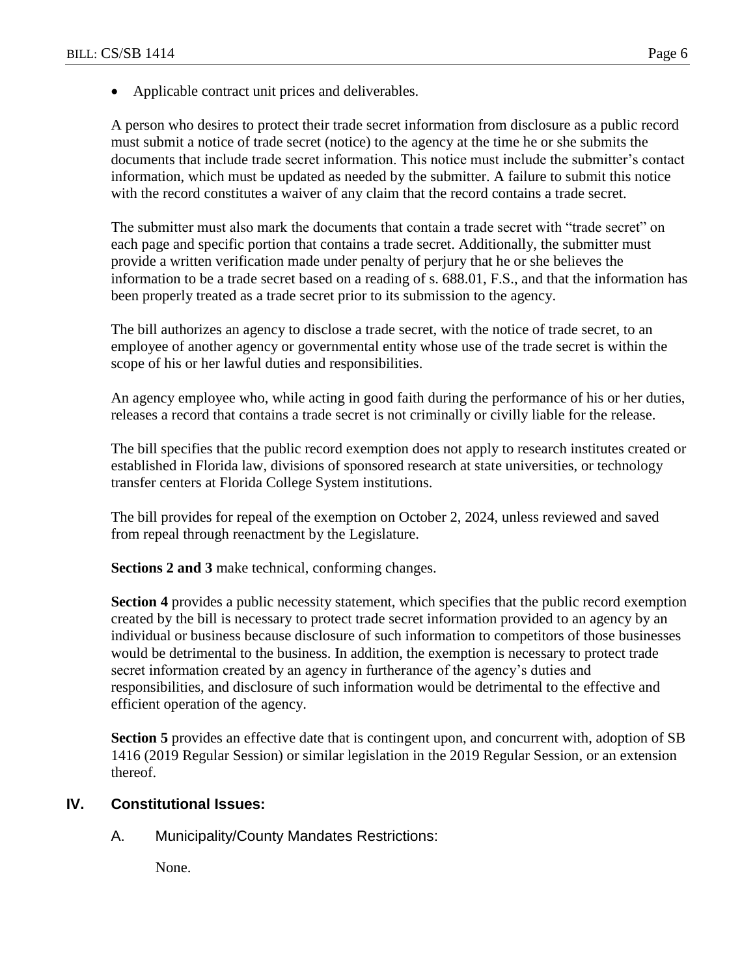• Applicable contract unit prices and deliverables.

A person who desires to protect their trade secret information from disclosure as a public record must submit a notice of trade secret (notice) to the agency at the time he or she submits the documents that include trade secret information. This notice must include the submitter's contact information, which must be updated as needed by the submitter. A failure to submit this notice with the record constitutes a waiver of any claim that the record contains a trade secret.

The submitter must also mark the documents that contain a trade secret with "trade secret" on each page and specific portion that contains a trade secret. Additionally, the submitter must provide a written verification made under penalty of perjury that he or she believes the information to be a trade secret based on a reading of s. 688.01, F.S., and that the information has been properly treated as a trade secret prior to its submission to the agency.

The bill authorizes an agency to disclose a trade secret, with the notice of trade secret, to an employee of another agency or governmental entity whose use of the trade secret is within the scope of his or her lawful duties and responsibilities.

An agency employee who, while acting in good faith during the performance of his or her duties, releases a record that contains a trade secret is not criminally or civilly liable for the release.

The bill specifies that the public record exemption does not apply to research institutes created or established in Florida law, divisions of sponsored research at state universities, or technology transfer centers at Florida College System institutions.

The bill provides for repeal of the exemption on October 2, 2024, unless reviewed and saved from repeal through reenactment by the Legislature.

**Sections 2 and 3** make technical, conforming changes.

**Section 4** provides a public necessity statement, which specifies that the public record exemption created by the bill is necessary to protect trade secret information provided to an agency by an individual or business because disclosure of such information to competitors of those businesses would be detrimental to the business. In addition, the exemption is necessary to protect trade secret information created by an agency in furtherance of the agency's duties and responsibilities, and disclosure of such information would be detrimental to the effective and efficient operation of the agency.

**Section 5** provides an effective date that is contingent upon, and concurrent with, adoption of SB 1416 (2019 Regular Session) or similar legislation in the 2019 Regular Session, or an extension thereof.

# **IV. Constitutional Issues:**

A. Municipality/County Mandates Restrictions:

None.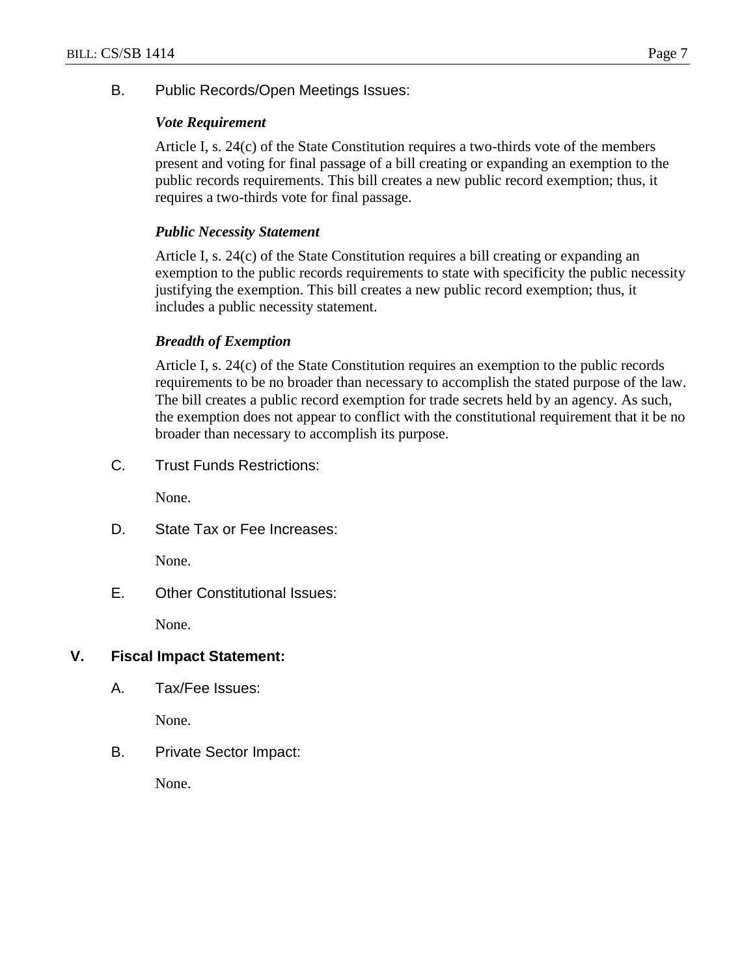B. Public Records/Open Meetings Issues:

## *Vote Requirement*

Article I, s. 24(c) of the State Constitution requires a two-thirds vote of the members present and voting for final passage of a bill creating or expanding an exemption to the public records requirements. This bill creates a new public record exemption; thus, it requires a two-thirds vote for final passage.

#### *Public Necessity Statement*

Article I, s. 24(c) of the State Constitution requires a bill creating or expanding an exemption to the public records requirements to state with specificity the public necessity justifying the exemption. This bill creates a new public record exemption; thus, it includes a public necessity statement.

## *Breadth of Exemption*

Article I, s. 24(c) of the State Constitution requires an exemption to the public records requirements to be no broader than necessary to accomplish the stated purpose of the law. The bill creates a public record exemption for trade secrets held by an agency. As such, the exemption does not appear to conflict with the constitutional requirement that it be no broader than necessary to accomplish its purpose.

C. Trust Funds Restrictions:

None.

D. State Tax or Fee Increases:

None.

E. Other Constitutional Issues:

None.

# **V. Fiscal Impact Statement:**

A. Tax/Fee Issues:

None.

B. Private Sector Impact:

None.